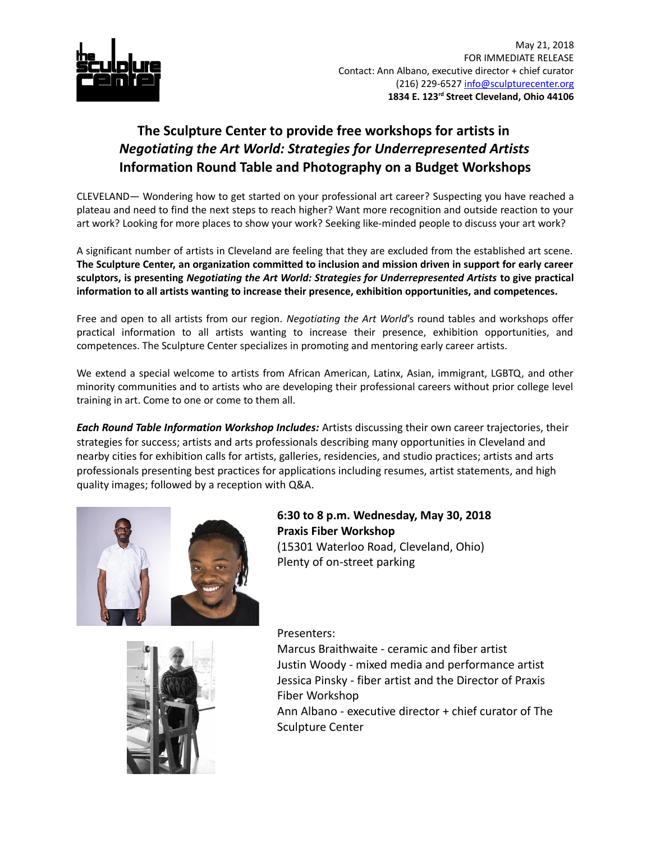

## **The Sculpture Center to provide free workshops for artists in**  *Negotiating the Art World: Strategies for Underrepresented Artists* **Information Round Table and Photography on a Budget Workshops**

CLEVELAND— Wondering how to get started on your professional art career? Suspecting you have reached a plateau and need to find the next steps to reach higher? Want more recognition and outside reaction to your art work? Looking for more places to show your work? Seeking like-minded people to discuss your art work?

A significant number of artists in Cleveland are feeling that they are excluded from the established art scene. **The Sculpture Center, an organization committed to inclusion and mission driven in support for early career sculptors, is presenting** *Negotiating the Art World: Strategies for Underrepresented Artists* **to give practical information to all artists wanting to increase their presence, exhibition opportunities, and competences.**

Free and open to all artists from our region. *Negotiating the Art World*'s round tables and workshops offer practical information to all artists wanting to increase their presence, exhibition opportunities, and competences. The Sculpture Center specializes in promoting and mentoring early career artists.

We extend a special welcome to artists from African American, Latinx, Asian, immigrant, LGBTQ, and other minority communities and to artists who are developing their professional careers without prior college level training in art. Come to one or come to them all.

*Each Round Table Information Workshop Includes:* Artists discussing their own career trajectories, their strategies for success; artists and arts professionals describing many opportunities in Cleveland and nearby cities for exhibition calls for artists, galleries, residencies, and studio practices; artists and arts professionals presenting best practices for applications including resumes, artist statements, and high quality images; followed by a reception with Q&A.



**6:30 to 8 p.m. Wednesday, May 30, 2018 Praxis Fiber Workshop** (15301 Waterloo Road, Cleveland, Ohio) Plenty of on-street parking

Presenters:

Marcus Braithwaite - ceramic and fiber artist Justin Woody - mixed media and performance artist Jessica Pinsky - fiber artist and the Director of Praxis Fiber Workshop

Ann Albano - executive director + chief curator of The Sculpture Center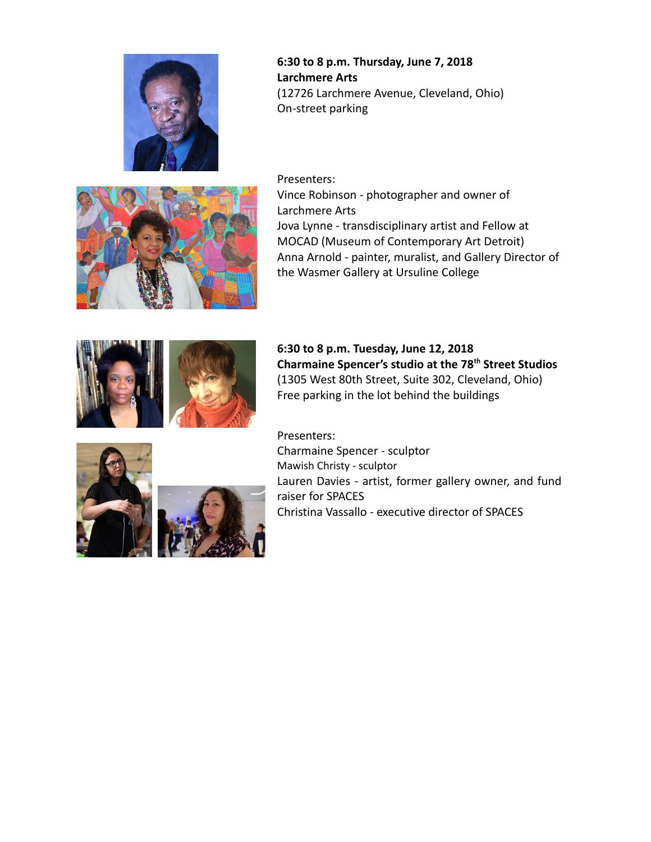

**6:30 to 8 p.m. Thursday, June 7, 2018 Larchmere Arts** (12726 Larchmere Avenue, Cleveland, Ohio) On-street parking



Presenters: Vince Robinson - photographer and owner of Larchmere Arts Jova Lynne - transdisciplinary artist and Fellow at MOCAD (Museum of Contemporary Art Detroit) Anna Arnold - painter, muralist, and Gallery Director of the Wasmer Gallery at Ursuline College



**6:30 to 8 p.m. Tuesday, June 12, 2018 Charmaine Spencer's studio at the 78th Street Studios** (1305 West 80th Street, Suite 302, Cleveland, Ohio) Free parking in the lot behind the buildings



Presenters:

Charmaine Spencer - sculptor Mawish Christy - sculptor Lauren Davies - artist, former gallery owner, and fund raiser for SPACES Christina Vassallo - executive director of SPACES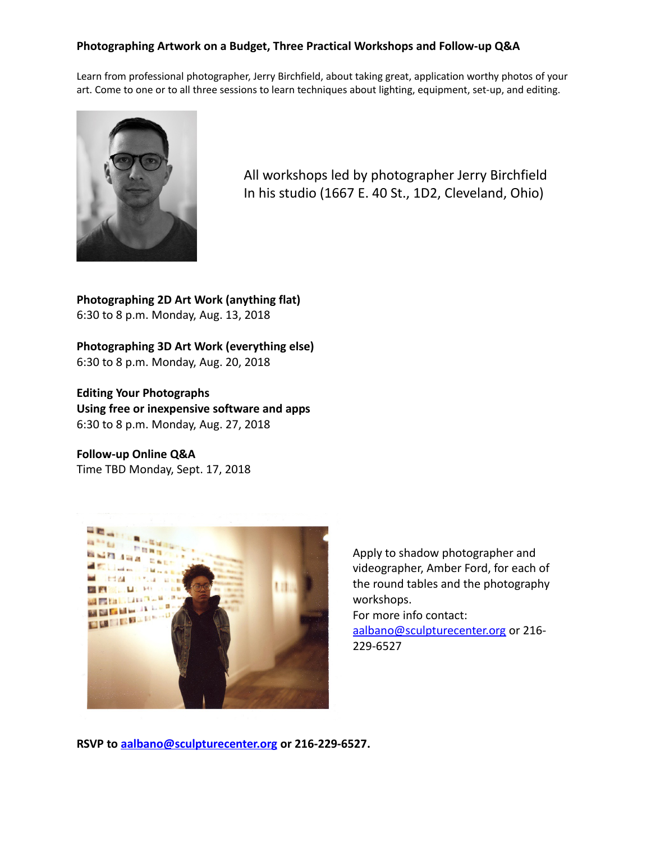## **Photographing Artwork on a Budget, Three Practical Workshops and Follow-up Q&A**

Learn from professional photographer, Jerry Birchfield, about taking great, application worthy photos of your art. Come to one or to all three sessions to learn techniques about lighting, equipment, set-up, and editing.



All workshops led by photographer Jerry Birchfield In his studio (1667 E. 40 St., 1D2, Cleveland, Ohio)

**Photographing 2D Art Work (anything flat)** 6:30 to 8 p.m. Monday, Aug. 13, 2018

**Photographing 3D Art Work (everything else)** 6:30 to 8 p.m. Monday, Aug. 20, 2018

**Editing Your Photographs Using free or inexpensive software and apps** 6:30 to 8 p.m. Monday, Aug. 27, 2018

**Follow-up Online Q&A** Time TBD Monday, Sept. 17, 2018



Apply to shadow photographer and videographer, Amber Ford, for each of the round tables and the photography workshops.

For more info contact:

[aalbano@sculpturecenter.org](mailto:aalbano@sculpturecenter.org) or 216-229-6527

**RSVP to [aalbano@sculpturecenter.org](mailto:aalbano@sculpturecenter.org) or 216-229-6527.**